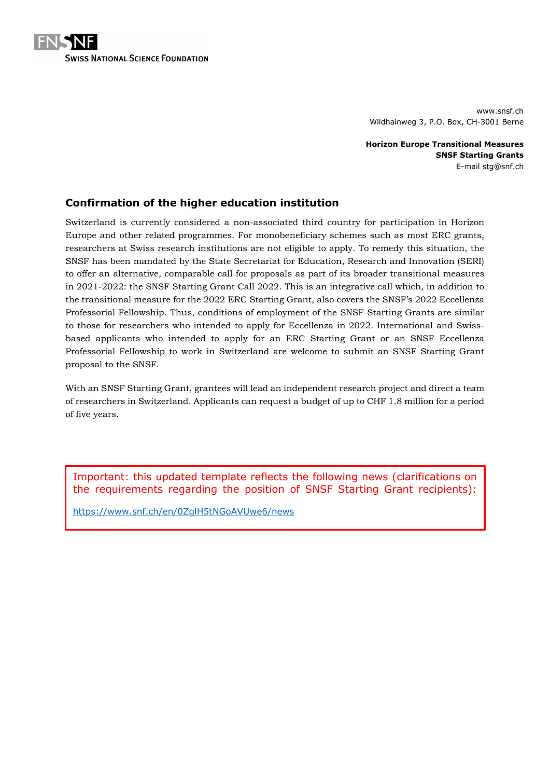

www.snsf.ch Wildhainweg 3, P.O. Box, CH-3001 Berne

**Horizon Europe Transitional Measures SNSF Starting Grants** E-mail stg@snf.ch

### **Confirmation of the higher education institution**

Switzerland is currently considered a non-associated third country for participation in Horizon Europe and other related programmes. For monobeneficiary schemes such as most ERC grants, researchers at Swiss research institutions are not eligible to apply. To remedy this situation, the SNSF has been mandated by the State Secretariat for Education, Research and Innovation (SERI) to offer an alternative, comparable call for proposals as part of its broader transitional measures in 2021-2022: the SNSF Starting Grant Call 2022. This is an integrative call which, in addition to the transitional measure for the 2022 ERC Starting Grant, also covers the SNSF's 2022 Eccellenza Professorial Fellowship. Thus, conditions of employment of the SNSF Starting Grants are similar to those for researchers who intended to apply for Eccellenza in 2022. International and Swissbased applicants who intended to apply for an ERC Starting Grant or an SNSF Eccellenza Professorial Fellowship to work in Switzerland are welcome to submit an SNSF Starting Grant proposal to the SNSF.

With an SNSF Starting Grant, grantees will lead an independent research project and direct a team of researchers in Switzerland. Applicants can request a budget of up to CHF 1.8 million for a period of five years.

Important: this updated template reflects the following news (clarifications on the requirements regarding the position of SNSF Starting Grant recipients):

<https://www.snf.ch/en/0ZglH5tNGoAVUwe6/news>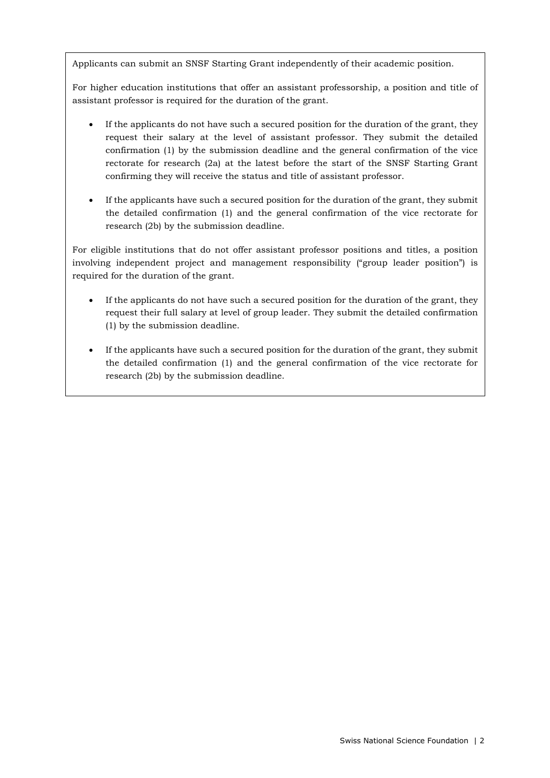Applicants can submit an SNSF Starting Grant independently of their academic position.

For higher education institutions that offer an assistant professorship, a position and title of assistant professor is required for the duration of the grant.

- If the applicants do not have such a secured position for the duration of the grant, they request their salary at the level of assistant professor. They submit the detailed confirmation (1) by the submission deadline and the general confirmation of the vice rectorate for research (2a) at the latest before the start of the SNSF Starting Grant confirming they will receive the status and title of assistant professor.
- If the applicants have such a secured position for the duration of the grant, they submit the detailed confirmation (1) and the general confirmation of the vice rectorate for research (2b) by the submission deadline.

For eligible institutions that do not offer assistant professor positions and titles, a position involving independent project and management responsibility ("group leader position") is required for the duration of the grant.

- If the applicants do not have such a secured position for the duration of the grant, they request their full salary at level of group leader. They submit the detailed confirmation (1) by the submission deadline.
- If the applicants have such a secured position for the duration of the grant, they submit the detailed confirmation (1) and the general confirmation of the vice rectorate for research (2b) by the submission deadline.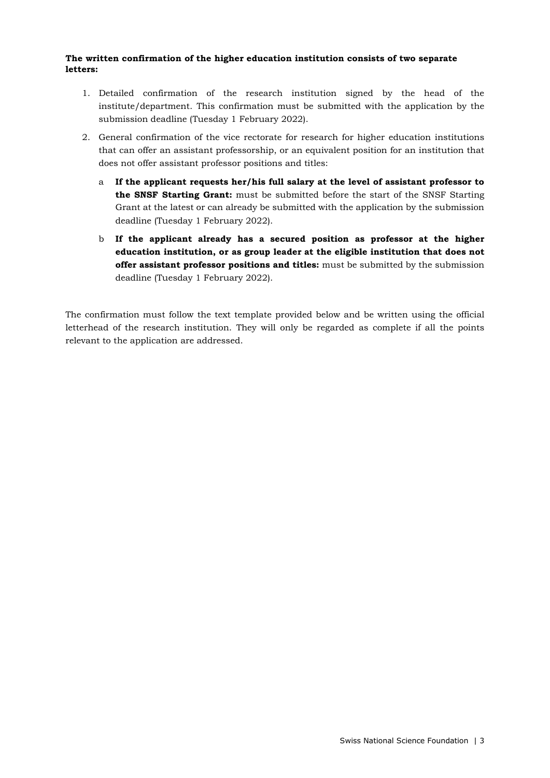#### **The written confirmation of the higher education institution consists of two separate letters:**

- 1. Detailed confirmation of the research institution signed by the head of the institute/department. This confirmation must be submitted with the application by the submission deadline (Tuesday 1 February 2022).
- 2. General confirmation of the vice rectorate for research for higher education institutions that can offer an assistant professorship, or an equivalent position for an institution that does not offer assistant professor positions and titles:
	- a **If the applicant requests her/his full salary at the level of assistant professor to the SNSF Starting Grant:** must be submitted before the start of the SNSF Starting Grant at the latest or can already be submitted with the application by the submission deadline (Tuesday 1 February 2022).
	- b **If the applicant already has a secured position as professor at the higher education institution, or as group leader at the eligible institution that does not offer assistant professor positions and titles:** must be submitted by the submission deadline (Tuesday 1 February 2022).

The confirmation must follow the text template provided below and be written using the official letterhead of the research institution. They will only be regarded as complete if all the points relevant to the application are addressed.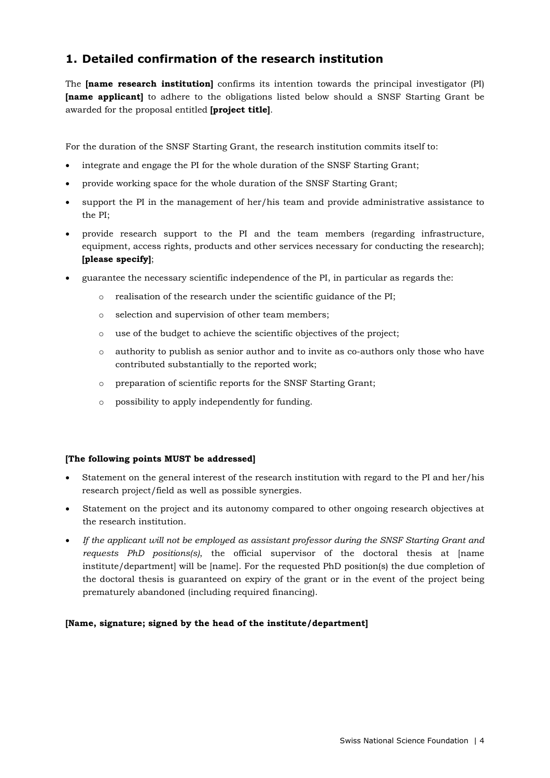# **1. Detailed confirmation of the research institution**

The **[name research institution]** confirms its intention towards the principal investigator (PI) **[name applicant]** to adhere to the obligations listed below should a SNSF Starting Grant be awarded for the proposal entitled **[project title]**.

For the duration of the SNSF Starting Grant, the research institution commits itself to:

- integrate and engage the PI for the whole duration of the SNSF Starting Grant;
- provide working space for the whole duration of the SNSF Starting Grant;
- support the PI in the management of her/his team and provide administrative assistance to the PI;
- provide research support to the PI and the team members (regarding infrastructure, equipment, access rights, products and other services necessary for conducting the research); **[please specify]**;
- guarantee the necessary scientific independence of the PI, in particular as regards the:
	- o realisation of the research under the scientific guidance of the PI;
	- o selection and supervision of other team members;
	- o use of the budget to achieve the scientific objectives of the project;
	- o authority to publish as senior author and to invite as co-authors only those who have contributed substantially to the reported work;
	- o preparation of scientific reports for the SNSF Starting Grant;
	- o possibility to apply independently for funding.

### **[The following points MUST be addressed]**

- Statement on the general interest of the research institution with regard to the PI and her/his research project/field as well as possible synergies.
- Statement on the project and its autonomy compared to other ongoing research objectives at the research institution.
- *If the applicant will not be employed as assistant professor during the SNSF Starting Grant and requests PhD positions(s)*, the official supervisor of the doctoral thesis at [name institute/department] will be [name]. For the requested PhD position(s) the due completion of the doctoral thesis is guaranteed on expiry of the grant or in the event of the project being prematurely abandoned (including required financing).

#### **[Name, signature; signed by the head of the institute/department]**